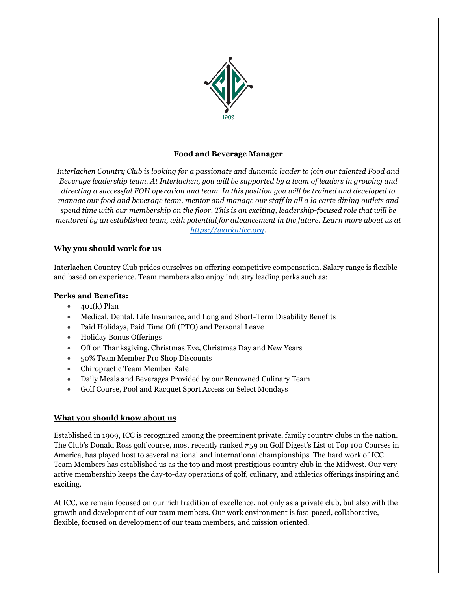

# **Food and Beverage Manager**

*Interlachen Country Club is looking for a passionate and dynamic leader to join our talented Food and Beverage leadership team. At Interlachen, you will be supported by a team of leaders in growing and directing a successful FOH operation and team. In this position you will be trained and developed to manage our food and beverage team, mentor and manage our staff in all a la carte dining outlets and spend time with our membership on the floor. This is an exciting, leadership-focused role that will be mentored by an established team, with potential for advancement in the future. Learn more about us at [https://workaticc.org.](https://workaticc.org/)* 

## **Why you should work for us**

Interlachen Country Club prides ourselves on offering competitive compensation. Salary range is flexible and based on experience. Team members also enjoy industry leading perks such as:

### **Perks and Benefits:**

- $\bullet$  401(k) Plan
- Medical, Dental, Life Insurance, and Long and Short-Term Disability Benefits
- Paid Holidays, Paid Time Off (PTO) and Personal Leave
- Holiday Bonus Offerings
- Off on Thanksgiving, Christmas Eve, Christmas Day and New Years
- 50% Team Member Pro Shop Discounts
- Chiropractic Team Member Rate
- Daily Meals and Beverages Provided by our Renowned Culinary Team
- Golf Course, Pool and Racquet Sport Access on Select Mondays

#### **What you should know about us**

Established in 1909, ICC is recognized among the preeminent private, family country clubs in the nation. The Club's Donald Ross golf course, most recently ranked #59 on Golf Digest's List of Top 100 Courses in America, has played host to several national and international championships. The hard work of ICC Team Members has established us as the top and most prestigious country club in the Midwest. Our very active membership keeps the day-to-day operations of golf, culinary, and athletics offerings inspiring and exciting.

At ICC, we remain focused on our rich tradition of excellence, not only as a private club, but also with the growth and development of our team members. Our work environment is fast-paced, collaborative, flexible, focused on development of our team members, and mission oriented.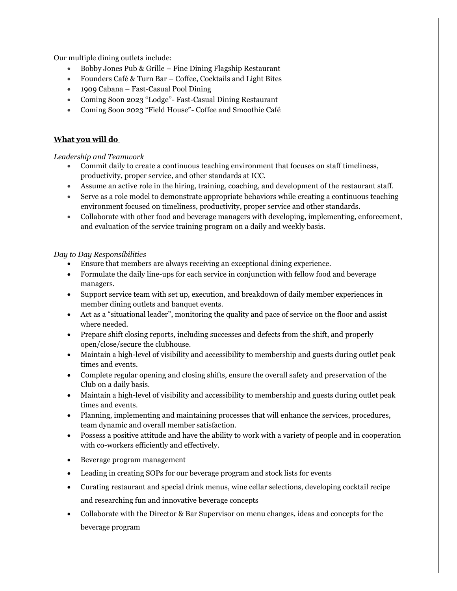Our multiple dining outlets include:

- Bobby Jones Pub & Grille Fine Dining Flagship Restaurant
- Founders Café & Turn Bar Coffee, Cocktails and Light Bites
- 1909 Cabana Fast-Casual Pool Dining
- Coming Soon 2023 "Lodge"- Fast-Casual Dining Restaurant
- Coming Soon 2023 "Field House"- Coffee and Smoothie Café

# **What you will do**

## *Leadership and Teamwork*

- Commit daily to create a continuous teaching environment that focuses on staff timeliness, productivity, proper service, and other standards at ICC.
- Assume an active role in the hiring, training, coaching, and development of the restaurant staff.
- Serve as a role model to demonstrate appropriate behaviors while creating a continuous teaching environment focused on timeliness, productivity, proper service and other standards.
- Collaborate with other food and beverage managers with developing, implementing, enforcement, and evaluation of the service training program on a daily and weekly basis.

## *Day to Day Responsibilities*

- Ensure that members are always receiving an exceptional dining experience.
- Formulate the daily line-ups for each service in conjunction with fellow food and beverage managers.
- Support service team with set up, execution, and breakdown of daily member experiences in member dining outlets and banquet events.
- Act as a "situational leader", monitoring the quality and pace of service on the floor and assist where needed.
- Prepare shift closing reports, including successes and defects from the shift, and properly open/close/secure the clubhouse.
- Maintain a high-level of visibility and accessibility to membership and guests during outlet peak times and events.
- Complete regular opening and closing shifts, ensure the overall safety and preservation of the Club on a daily basis.
- Maintain a high-level of visibility and accessibility to membership and guests during outlet peak times and events.
- Planning, implementing and maintaining processes that will enhance the services, procedures, team dynamic and overall member satisfaction.
- Possess a positive attitude and have the ability to work with a variety of people and in cooperation with co-workers efficiently and effectively.
- Beverage program management
- Leading in creating SOPs for our beverage program and stock lists for events
- Curating restaurant and special drink menus, wine cellar selections, developing cocktail recipe and researching fun and innovative beverage concepts
- Collaborate with the Director & Bar Supervisor on menu changes, ideas and concepts for the beverage program